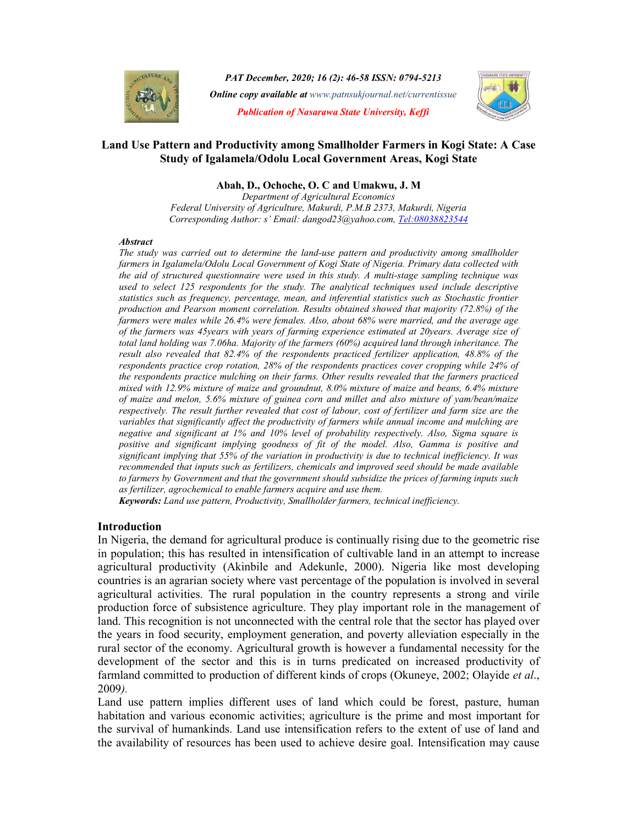

PAT December, 2020; 16 (2): 46-58 ISSN: 0794-5213 **Online copy available at** www.patnsukjournal.net/currentissue Publication of Nasarawa State University, Keffi



## Land Use Pattern and Productivity among Smallholder Farmers in Kogi State: A Case Study of Igalamela/Odolu Local Government Areas, Kogi State

#### Abah, D., Ochoche, O. C and Umakwu, J. M

Department of Agricultural Economics Federal University of Agriculture, Makurdi, P.M.B 2373, Makurdi, Nigeria Corresponding Author: s' Email: dangod23@yahoo.com, Tel:08038823544

#### Abstract

The study was carried out to determine the land-use pattern and productivity among smallholder farmers in Igalamela/Odolu Local Government of Kogi State of Nigeria. Primary data collected with the aid of structured questionnaire were used in this study. A multi-stage sampling technique was used to select 125 respondents for the study. The analytical techniques used include descriptive statistics such as frequency, percentage, mean, and inferential statistics such as Stochastic frontier production and Pearson moment correlation. Results obtained showed that majority (72.8%) of the farmers were males while 26.4% were females. Also, about 68% were married, and the average age of the farmers was 45years with years of farming experience estimated at 20years. Average size of total land holding was 7.06ha. Majority of the farmers (60%) acquired land through inheritance. The result also revealed that 82.4% of the respondents practiced fertilizer application, 48.8% of the respondents practice crop rotation, 28% of the respondents practices cover cropping while 24% of the respondents practice mulching on their farms. Other results revealed that the farmers practiced mixed with 12.9% mixture of maize and groundnut, 8.0% mixture of maize and beans, 6.4% mixture of maize and melon, 5.6% mixture of guinea corn and millet and also mixture of yam/bean/maize respectively. The result further revealed that cost of labour, cost of fertilizer and farm size are the variables that significantly affect the productivity of farmers while annual income and mulching are negative and significant at 1% and 10% level of probability respectively. Also, Sigma square is positive and significant implying goodness of fit of the model. Also, Gamma is positive and significant implying that 55% of the variation in productivity is due to technical inefficiency. It was recommended that inputs such as fertilizers, chemicals and improved seed should be made available to farmers by Government and that the government should subsidize the prices of farming inputs such as fertilizer, agrochemical to enable farmers acquire and use them.

Keywords: Land use pattern, Productivity, Smallholder farmers, technical inefficiency.

#### Introduction

In Nigeria, the demand for agricultural produce is continually rising due to the geometric rise in population; this has resulted in intensification of cultivable land in an attempt to increase agricultural productivity (Akinbile and Adekunle, 2000). Nigeria like most developing countries is an agrarian society where vast percentage of the population is involved in several agricultural activities. The rural population in the country represents a strong and virile production force of subsistence agriculture. They play important role in the management of land. This recognition is not unconnected with the central role that the sector has played over the years in food security, employment generation, and poverty alleviation especially in the rural sector of the economy. Agricultural growth is however a fundamental necessity for the development of the sector and this is in turns predicated on increased productivity of farmland committed to production of different kinds of crops (Okuneye, 2002; Olayide et al., 2009).

Land use pattern implies different uses of land which could be forest, pasture, human habitation and various economic activities; agriculture is the prime and most important for the survival of humankinds. Land use intensification refers to the extent of use of land and the availability of resources has been used to achieve desire goal. Intensification may cause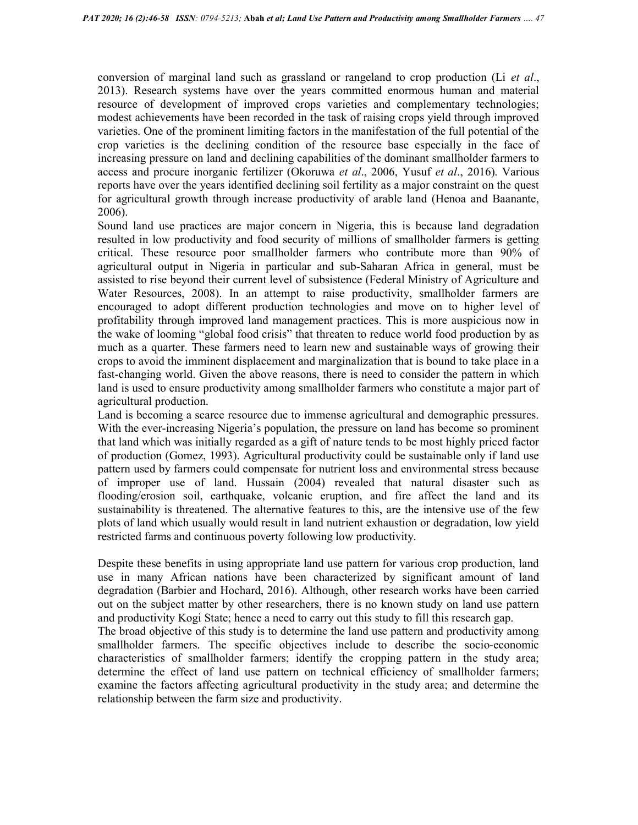conversion of marginal land such as grassland or rangeland to crop production (Li et al., 2013). Research systems have over the years committed enormous human and material resource of development of improved crops varieties and complementary technologies; modest achievements have been recorded in the task of raising crops yield through improved varieties. One of the prominent limiting factors in the manifestation of the full potential of the crop varieties is the declining condition of the resource base especially in the face of increasing pressure on land and declining capabilities of the dominant smallholder farmers to access and procure inorganic fertilizer (Okoruwa et al., 2006, Yusuf et al., 2016). Various reports have over the years identified declining soil fertility as a major constraint on the quest for agricultural growth through increase productivity of arable land (Henoa and Baanante, 2006).

Sound land use practices are major concern in Nigeria, this is because land degradation resulted in low productivity and food security of millions of smallholder farmers is getting critical. These resource poor smallholder farmers who contribute more than 90% of agricultural output in Nigeria in particular and sub-Saharan Africa in general, must be assisted to rise beyond their current level of subsistence (Federal Ministry of Agriculture and Water Resources, 2008). In an attempt to raise productivity, smallholder farmers are encouraged to adopt different production technologies and move on to higher level of profitability through improved land management practices. This is more auspicious now in the wake of looming "global food crisis" that threaten to reduce world food production by as much as a quarter. These farmers need to learn new and sustainable ways of growing their crops to avoid the imminent displacement and marginalization that is bound to take place in a fast-changing world. Given the above reasons, there is need to consider the pattern in which land is used to ensure productivity among smallholder farmers who constitute a major part of agricultural production.

Land is becoming a scarce resource due to immense agricultural and demographic pressures. With the ever-increasing Nigeria's population, the pressure on land has become so prominent that land which was initially regarded as a gift of nature tends to be most highly priced factor of production (Gomez, 1993). Agricultural productivity could be sustainable only if land use pattern used by farmers could compensate for nutrient loss and environmental stress because of improper use of land. Hussain (2004) revealed that natural disaster such as flooding/erosion soil, earthquake, volcanic eruption, and fire affect the land and its sustainability is threatened. The alternative features to this, are the intensive use of the few plots of land which usually would result in land nutrient exhaustion or degradation, low yield restricted farms and continuous poverty following low productivity.

Despite these benefits in using appropriate land use pattern for various crop production, land use in many African nations have been characterized by significant amount of land degradation (Barbier and Hochard, 2016). Although, other research works have been carried out on the subject matter by other researchers, there is no known study on land use pattern and productivity Kogi State; hence a need to carry out this study to fill this research gap.

The broad objective of this study is to determine the land use pattern and productivity among smallholder farmers. The specific objectives include to describe the socio-economic characteristics of smallholder farmers; identify the cropping pattern in the study area; determine the effect of land use pattern on technical efficiency of smallholder farmers; examine the factors affecting agricultural productivity in the study area; and determine the relationship between the farm size and productivity.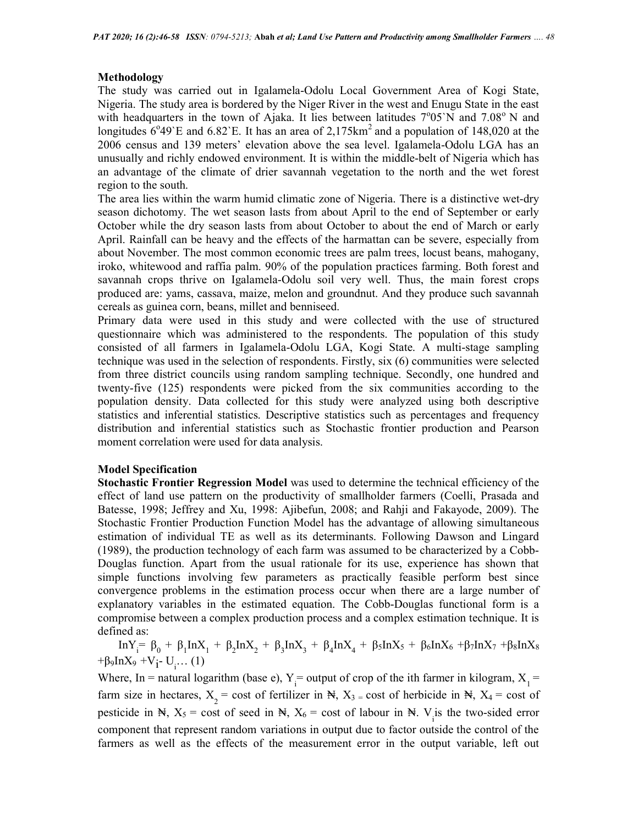# Methodology

The study was carried out in Igalamela-Odolu Local Government Area of Kogi State, Nigeria. The study area is bordered by the Niger River in the west and Enugu State in the east with headquarters in the town of Ajaka. It lies between latitudes  $7^{\circ}05^{\circ}N$  and  $7.08^{\circ}N$  and longitudes  $6^{\circ}49^{\circ}E$  and  $6.82^{\circ}E$ . It has an area of 2,175km<sup>2</sup> and a population of 148,020 at the 2006 census and 139 meters' elevation above the sea level. Igalamela-Odolu LGA has an unusually and richly endowed environment. It is within the middle-belt of Nigeria which has an advantage of the climate of drier savannah vegetation to the north and the wet forest region to the south.

The area lies within the warm humid climatic zone of Nigeria. There is a distinctive wet-dry season dichotomy. The wet season lasts from about April to the end of September or early October while the dry season lasts from about October to about the end of March or early April. Rainfall can be heavy and the effects of the harmattan can be severe, especially from about November. The most common economic trees are palm trees, locust beans, mahogany, iroko, whitewood and raffia palm. 90% of the population practices farming. Both forest and savannah crops thrive on Igalamela-Odolu soil very well. Thus, the main forest crops produced are: yams, cassava, maize, melon and groundnut. And they produce such savannah cereals as guinea corn, beans, millet and benniseed.

Primary data were used in this study and were collected with the use of structured questionnaire which was administered to the respondents. The population of this study consisted of all farmers in Igalamela-Odolu LGA, Kogi State. A multi-stage sampling technique was used in the selection of respondents. Firstly, six (6) communities were selected from three district councils using random sampling technique. Secondly, one hundred and twenty-five (125) respondents were picked from the six communities according to the population density. Data collected for this study were analyzed using both descriptive statistics and inferential statistics. Descriptive statistics such as percentages and frequency distribution and inferential statistics such as Stochastic frontier production and Pearson moment correlation were used for data analysis.

## Model Specification

Stochastic Frontier Regression Model was used to determine the technical efficiency of the effect of land use pattern on the productivity of smallholder farmers (Coelli, Prasada and Batesse, 1998; Jeffrey and Xu, 1998: Ajibefun, 2008; and Rahji and Fakayode, 2009). The Stochastic Frontier Production Function Model has the advantage of allowing simultaneous estimation of individual TE as well as its determinants. Following Dawson and Lingard (1989), the production technology of each farm was assumed to be characterized by a Cobb-Douglas function. Apart from the usual rationale for its use, experience has shown that simple functions involving few parameters as practically feasible perform best since convergence problems in the estimation process occur when there are a large number of explanatory variables in the estimated equation. The Cobb-Douglas functional form is a compromise between a complex production process and a complex estimation technique. It is defined as:

 $InY_i^ = \beta_0 + \beta_1 InX_1 + \beta_2 InX_2 + \beta_3 InX_3 + \beta_4 InX_4 + \beta_5 InX_5 + \beta_6 InX_6 + \beta_7 InX_7 + \beta_8 InX_8$ +β<sub>9</sub>InX<sub>9</sub> +V<sub>i</sub>- U<sub>i</sub>... (1)

Where, In = natural logarithm (base e),  $Y_i$  = output of crop of the ith farmer in kilogram,  $X_i$  = farm size in hectares,  $X_2$  = cost of fertilizer in  $\mathbb{H}$ ,  $X_3$  = cost of herbicide in  $\mathbb{H}$ ,  $X_4$  = cost of pesticide in  $\mathbb{N}$ ,  $X_5$  = cost of seed in  $\mathbb{N}$ ,  $X_6$  = cost of labour in  $\mathbb{N}$ . V<sub>i</sub> is the two-sided error component that represent random variations in output due to factor outside the control of the farmers as well as the effects of the measurement error in the output variable, left out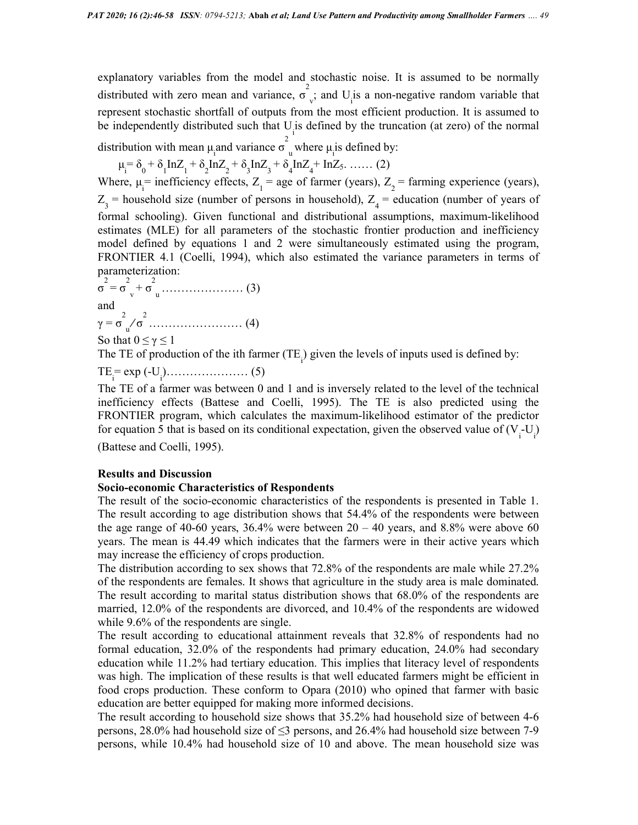explanatory variables from the model and stochastic noise. It is assumed to be normally distributed with zero mean and variance,  $\sigma$ <sup>2</sup>  $_{\rm v}$ ; and U<sub>i</sub> is a non-negative random variable that represent stochastic shortfall of outputs from the most efficient production. It is assumed to be independently distributed such that  $U_i$  is defined by the truncation (at zero) of the normal distribution with mean  $\mu$  and variance  $\sigma_u^2$  where  $\mu$  is defined by:

$$
\mu_{i} = \delta_{0} + \delta_{1} \ln Z_{1} + \delta_{2} \ln Z_{2} + \delta_{3} \ln Z_{3} + \delta_{4} \ln Z_{4} + \ln Z_{5}.
$$
 (2)

Where,  $\mu_i$  = inefficiency effects, Z<sub>1</sub> = age of farmer (years), Z<sub>2</sub> = farming experience (years),  $Z_3$  = household size (number of persons in household),  $Z_4$  = education (number of years of formal schooling). Given functional and distributional assumptions, maximum-likelihood estimates (MLE) for all parameters of the stochastic frontier production and inefficiency model defined by equations 1 and 2 were simultaneously estimated using the program, FRONTIER 4.1 (Coelli, 1994), which also estimated the variance parameters in terms of parameterization:

σ 2 = σ 2 v + σ 2 <sup>u</sup>………………… (3) and γ = σ 2 u » σ 2 …………………… (4) So that 0 ≤ γ ≤ 1

The TE of production of the ith farmer  $(TE_i)$  given the levels of inputs used is defined by:

TE<sup>i</sup> = exp (-U<sup>i</sup> )………………… (5)

The TE of a farmer was between 0 and 1 and is inversely related to the level of the technical inefficiency effects (Battese and Coelli, 1995). The TE is also predicted using the FRONTIER program, which calculates the maximum-likelihood estimator of the predictor for equation 5 that is based on its conditional expectation, given the observed value of  $(V_i-U_j)$ 

(Battese and Coelli, 1995).

#### Results and Discussion

#### Socio-economic Characteristics of Respondents

The result of the socio-economic characteristics of the respondents is presented in Table 1. The result according to age distribution shows that 54.4% of the respondents were between the age range of 40-60 years,  $36.4\%$  were between  $20 - 40$  years, and  $8.8\%$  were above 60 years. The mean is 44.49 which indicates that the farmers were in their active years which may increase the efficiency of crops production.

The distribution according to sex shows that 72.8% of the respondents are male while 27.2% of the respondents are females. It shows that agriculture in the study area is male dominated. The result according to marital status distribution shows that 68.0% of the respondents are married, 12.0% of the respondents are divorced, and 10.4% of the respondents are widowed while 9.6% of the respondents are single.

The result according to educational attainment reveals that 32.8% of respondents had no formal education, 32.0% of the respondents had primary education, 24.0% had secondary education while 11.2% had tertiary education. This implies that literacy level of respondents was high. The implication of these results is that well educated farmers might be efficient in food crops production. These conform to Opara (2010) who opined that farmer with basic education are better equipped for making more informed decisions.

The result according to household size shows that 35.2% had household size of between 4-6 persons, 28.0% had household size of ≤3 persons, and 26.4% had household size between 7-9 persons, while 10.4% had household size of 10 and above. The mean household size was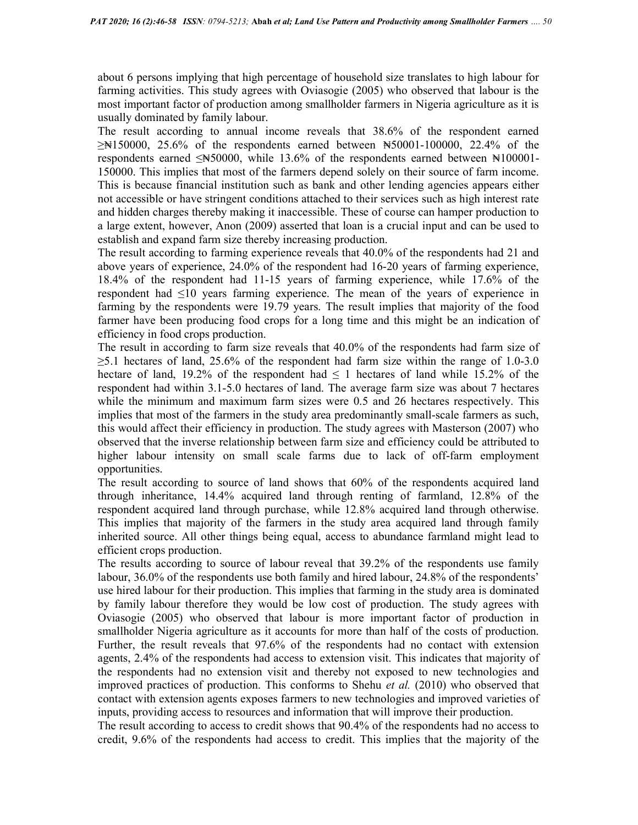about 6 persons implying that high percentage of household size translates to high labour for farming activities. This study agrees with Oviasogie (2005) who observed that labour is the most important factor of production among smallholder farmers in Nigeria agriculture as it is usually dominated by family labour.

The result according to annual income reveals that 38.6% of the respondent earned  $\geq$ Net 150000, 25.6% of the respondents earned between N50001-100000, 22.4% of the respondents earned  $\leq N50000$ , while 13.6% of the respondents earned between  $N100001$ -150000. This implies that most of the farmers depend solely on their source of farm income. This is because financial institution such as bank and other lending agencies appears either not accessible or have stringent conditions attached to their services such as high interest rate and hidden charges thereby making it inaccessible. These of course can hamper production to a large extent, however, Anon (2009) asserted that loan is a crucial input and can be used to establish and expand farm size thereby increasing production.

The result according to farming experience reveals that 40.0% of the respondents had 21 and above years of experience, 24.0% of the respondent had 16-20 years of farming experience, 18.4% of the respondent had 11-15 years of farming experience, while 17.6% of the respondent had ≤10 years farming experience. The mean of the years of experience in farming by the respondents were 19.79 years. The result implies that majority of the food farmer have been producing food crops for a long time and this might be an indication of efficiency in food crops production.

The result in according to farm size reveals that 40.0% of the respondents had farm size of  $\geq$ 5.1 hectares of land, 25.6% of the respondent had farm size within the range of 1.0-3.0 hectare of land, 19.2% of the respondent had  $\leq 1$  hectares of land while 15.2% of the respondent had within 3.1-5.0 hectares of land. The average farm size was about 7 hectares while the minimum and maximum farm sizes were 0.5 and 26 hectares respectively. This implies that most of the farmers in the study area predominantly small-scale farmers as such, this would affect their efficiency in production. The study agrees with Masterson (2007) who observed that the inverse relationship between farm size and efficiency could be attributed to higher labour intensity on small scale farms due to lack of off-farm employment opportunities.

The result according to source of land shows that 60% of the respondents acquired land through inheritance, 14.4% acquired land through renting of farmland, 12.8% of the respondent acquired land through purchase, while 12.8% acquired land through otherwise. This implies that majority of the farmers in the study area acquired land through family inherited source. All other things being equal, access to abundance farmland might lead to efficient crops production.

The results according to source of labour reveal that 39.2% of the respondents use family labour, 36.0% of the respondents use both family and hired labour, 24.8% of the respondents' use hired labour for their production. This implies that farming in the study area is dominated by family labour therefore they would be low cost of production. The study agrees with Oviasogie (2005) who observed that labour is more important factor of production in smallholder Nigeria agriculture as it accounts for more than half of the costs of production. Further, the result reveals that 97.6% of the respondents had no contact with extension agents, 2.4% of the respondents had access to extension visit. This indicates that majority of the respondents had no extension visit and thereby not exposed to new technologies and improved practices of production. This conforms to Shehu *et al.* (2010) who observed that contact with extension agents exposes farmers to new technologies and improved varieties of inputs, providing access to resources and information that will improve their production.

The result according to access to credit shows that 90.4% of the respondents had no access to credit, 9.6% of the respondents had access to credit. This implies that the majority of the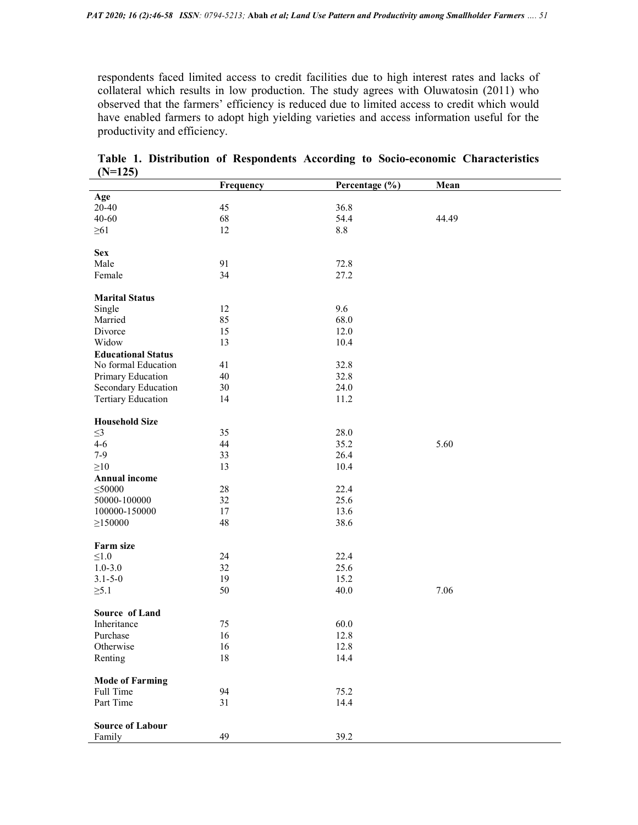respondents faced limited access to credit facilities due to high interest rates and lacks of collateral which results in low production. The study agrees with Oluwatosin (2011) who observed that the farmers' efficiency is reduced due to limited access to credit which would have enabled farmers to adopt high yielding varieties and access information useful for the productivity and efficiency.

|                           | Frequency | Percentage (%) | Mean  |
|---------------------------|-----------|----------------|-------|
| Age                       |           |                |       |
| 20-40                     | 45        | 36.8           |       |
| $40 - 60$                 | 68        | 54.4           | 44.49 |
| $\geq 61$                 | 12        | $8.8\,$        |       |
|                           |           |                |       |
| <b>Sex</b>                |           |                |       |
| Male                      | 91        | 72.8           |       |
| Female                    | 34        | 27.2           |       |
|                           |           |                |       |
| <b>Marital Status</b>     |           |                |       |
| Single                    | 12        | 9.6            |       |
| Married                   | 85        | 68.0           |       |
| Divorce                   | 15        | 12.0           |       |
| Widow                     | 13        | 10.4           |       |
| <b>Educational Status</b> |           |                |       |
| No formal Education       | 41        | 32.8           |       |
| Primary Education         | 40        | 32.8           |       |
|                           | 30        | 24.0           |       |
| Secondary Education       |           |                |       |
| <b>Tertiary Education</b> | 14        | 11.2           |       |
| <b>Household Size</b>     |           |                |       |
|                           | 35        | 28.0           |       |
| $\leq$ 3                  |           |                |       |
| $4 - 6$                   | 44        | 35.2           | 5.60  |
| $7-9$                     | 33        | 26.4           |       |
| $\geq 10$                 | 13        | 10.4           |       |
| <b>Annual income</b>      |           |                |       |
| $\leq 50000$              | $28\,$    | 22.4           |       |
| 50000-100000              | 32        | 25.6           |       |
| 100000-150000             | 17        | 13.6           |       |
| $\geq$ 150000             | 48        | 38.6           |       |
|                           |           |                |       |
| Farm size                 |           |                |       |
| $\leq1.0$                 | 24        | 22.4           |       |
| $1.0 - 3.0$               | 32        | 25.6           |       |
| $3.1 - 5 - 0$             | 19        | 15.2           |       |
| $\geq 5.1$                | 50        | 40.0           | 7.06  |
|                           |           |                |       |
| Source of Land            |           |                |       |
| Inheritance               | 75        | 60.0           |       |
| Purchase                  | 16        | 12.8           |       |
| Otherwise                 | 16        | 12.8           |       |
| Renting                   | $18\,$    | 14.4           |       |
|                           |           |                |       |
| <b>Mode of Farming</b>    |           |                |       |
| Full Time                 | 94        | 75.2           |       |
| Part Time                 | 31        | 14.4           |       |
|                           |           |                |       |
| <b>Source of Labour</b>   |           |                |       |
| Family                    | 49        | 39.2           |       |

Table 1. Distribution of Respondents According to Socio-economic Characteristics  $(N=125)$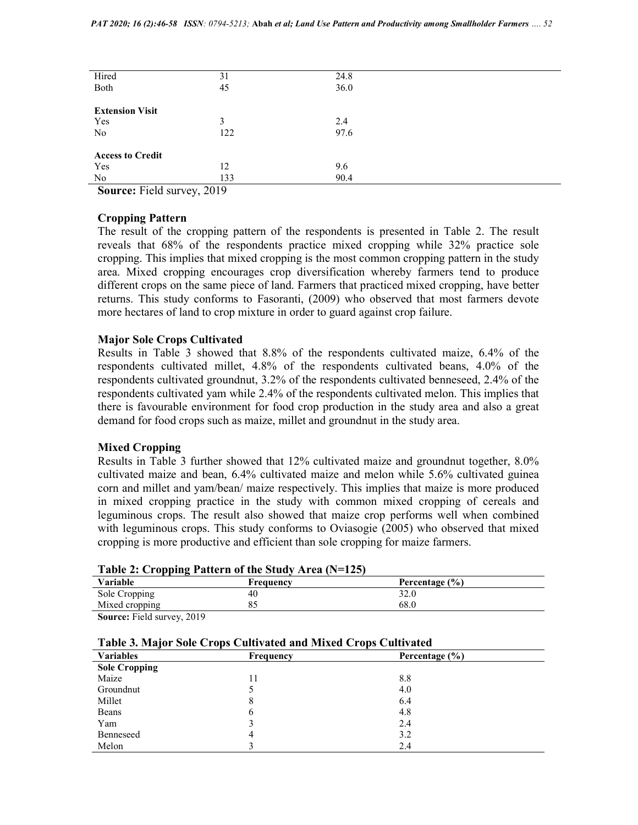| Hired                   | 31      | 24.8 |  |
|-------------------------|---------|------|--|
| Both                    | 45      | 36.0 |  |
|                         |         |      |  |
| <b>Extension Visit</b>  |         |      |  |
| Yes                     | 3       | 2.4  |  |
| No                      | 122     | 97.6 |  |
|                         |         |      |  |
| <b>Access to Credit</b> |         |      |  |
| Yes                     | 12      | 9.6  |  |
| No                      | 133     | 90.4 |  |
| ____                    | - - - - |      |  |

Source: Field survey, 2019

#### Cropping Pattern

The result of the cropping pattern of the respondents is presented in Table 2. The result reveals that 68% of the respondents practice mixed cropping while 32% practice sole cropping. This implies that mixed cropping is the most common cropping pattern in the study area. Mixed cropping encourages crop diversification whereby farmers tend to produce different crops on the same piece of land. Farmers that practiced mixed cropping, have better returns. This study conforms to Fasoranti, (2009) who observed that most farmers devote more hectares of land to crop mixture in order to guard against crop failure.

#### Major Sole Crops Cultivated

Results in Table 3 showed that 8.8% of the respondents cultivated maize, 6.4% of the respondents cultivated millet, 4.8% of the respondents cultivated beans, 4.0% of the respondents cultivated groundnut, 3.2% of the respondents cultivated benneseed, 2.4% of the respondents cultivated yam while 2.4% of the respondents cultivated melon. This implies that there is favourable environment for food crop production in the study area and also a great demand for food crops such as maize, millet and groundnut in the study area.

## Mixed Cropping

Results in Table 3 further showed that 12% cultivated maize and groundnut together, 8.0% cultivated maize and bean, 6.4% cultivated maize and melon while 5.6% cultivated guinea corn and millet and yam/bean/ maize respectively. This implies that maize is more produced in mixed cropping practice in the study with common mixed cropping of cereals and leguminous crops. The result also showed that maize crop performs well when combined with leguminous crops. This study conforms to Oviasogie (2005) who observed that mixed cropping is more productive and efficient than sole cropping for maize farmers.

|                    | $\frac{1}{2}$ and $\frac{1}{2}$ and $\frac{1}{2}$ are $\frac{1}{2}$ and $\frac{1}{2}$ are $\frac{1}{2}$ and $\frac{1}{2}$ and $\frac{1}{2}$ |                |  |
|--------------------|---------------------------------------------------------------------------------------------------------------------------------------------|----------------|--|
| Variable           | Frequency                                                                                                                                   | Percentage (%) |  |
| Sole Cropping      | 40                                                                                                                                          | 32.0           |  |
| Mixed cropping     |                                                                                                                                             | 68.0           |  |
| $\cdots$<br>$\sim$ | $\sim$ $\sim$                                                                                                                               |                |  |

## Table 2: Cropping Pattern of the Study Area (N=125)

Source: Field survey, 2019

| Table 3. Major Sole Crops Cultivated and Mixed Crops Cultivated |
|-----------------------------------------------------------------|
|-----------------------------------------------------------------|

| <b>Variables</b>     | Frequency | Percentage $(\% )$ |  |
|----------------------|-----------|--------------------|--|
| <b>Sole Cropping</b> |           |                    |  |
| Maize                | 11        | 8.8                |  |
| Groundnut            |           | 4.0                |  |
| Millet               | 8         | 6.4                |  |
| Beans                | 6         | 4.8                |  |
| Yam                  |           | 2.4                |  |
| Benneseed            | 4         | 3.2                |  |
| Melon                |           | 2.4                |  |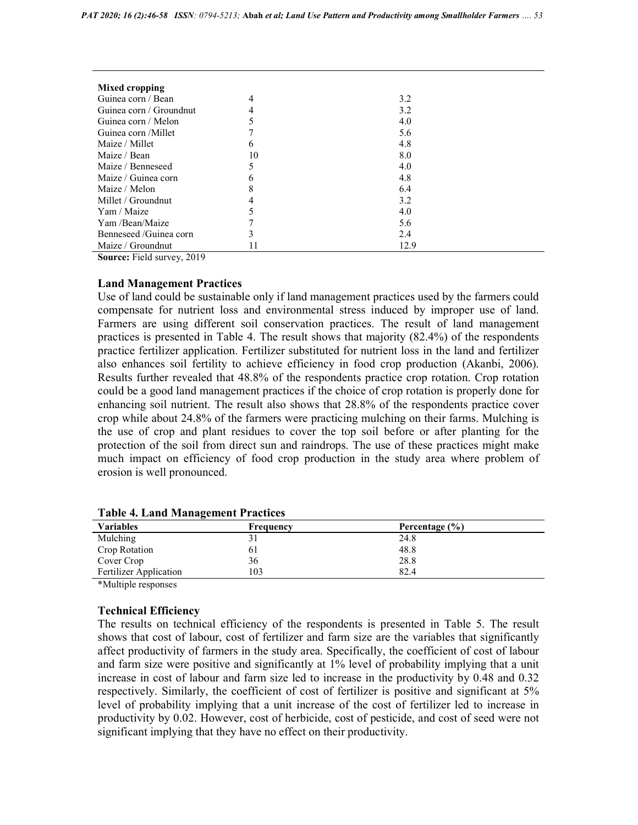| Mixed cropping          |    |      |
|-------------------------|----|------|
| Guinea corn / Bean      |    | 3.2  |
| Guinea corn / Groundnut |    | 3.2  |
| Guinea corn / Melon     |    | 4.0  |
| Guinea corn / Millet    |    | 5.6  |
| Maize / Millet          | 6  | 4.8  |
| Maize / Bean            | 10 | 8.0  |
| Maize / Benneseed       |    | 4.0  |
| Maize / Guinea corn     | h  | 4.8  |
| Maize / Melon           |    | 6.4  |
| Millet / Groundnut      |    | 3.2  |
| Yam / Maize             |    | 4.0  |
| Yam /Bean/Maize         |    | 5.6  |
| Benneseed/Guinea corn   | 3  | 2.4  |
| Maize / Groundnut       | 11 | 12.9 |

Source: Field survey, 2019

## Land Management Practices

Use of land could be sustainable only if land management practices used by the farmers could compensate for nutrient loss and environmental stress induced by improper use of land. Farmers are using different soil conservation practices. The result of land management practices is presented in Table 4. The result shows that majority (82.4%) of the respondents practice fertilizer application. Fertilizer substituted for nutrient loss in the land and fertilizer also enhances soil fertility to achieve efficiency in food crop production (Akanbi, 2006). Results further revealed that 48.8% of the respondents practice crop rotation. Crop rotation could be a good land management practices if the choice of crop rotation is properly done for enhancing soil nutrient. The result also shows that 28.8% of the respondents practice cover crop while about 24.8% of the farmers were practicing mulching on their farms. Mulching is the use of crop and plant residues to cover the top soil before or after planting for the protection of the soil from direct sun and raindrops. The use of these practices might make much impact on efficiency of food crop production in the study area where problem of erosion is well pronounced.

| <b>Variables</b>              | Frequency | Percentage (%) |  |
|-------------------------------|-----------|----------------|--|
| Mulching                      | 31        | 24.8           |  |
| Crop Rotation                 | 61        | 48.8           |  |
| Cover Crop                    | 36        | 28.8           |  |
| <b>Fertilizer Application</b> | 103       | 82.4           |  |

Table 4. Land Management Practices

\*Multiple responses

## Technical Efficiency

The results on technical efficiency of the respondents is presented in Table 5. The result shows that cost of labour, cost of fertilizer and farm size are the variables that significantly affect productivity of farmers in the study area. Specifically, the coefficient of cost of labour and farm size were positive and significantly at 1% level of probability implying that a unit increase in cost of labour and farm size led to increase in the productivity by 0.48 and 0.32 respectively. Similarly, the coefficient of cost of fertilizer is positive and significant at 5% level of probability implying that a unit increase of the cost of fertilizer led to increase in productivity by 0.02. However, cost of herbicide, cost of pesticide, and cost of seed were not significant implying that they have no effect on their productivity.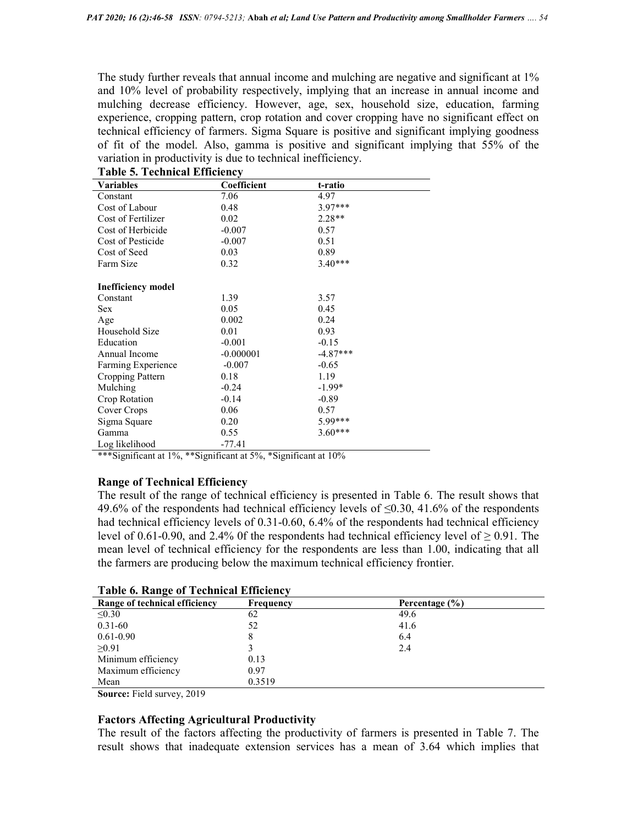The study further reveals that annual income and mulching are negative and significant at 1% and 10% level of probability respectively, implying that an increase in annual income and mulching decrease efficiency. However, age, sex, household size, education, farming experience, cropping pattern, crop rotation and cover cropping have no significant effect on technical efficiency of farmers. Sigma Square is positive and significant implying goodness of fit of the model. Also, gamma is positive and significant implying that 55% of the variation in productivity is due to technical inefficiency.

| rasiv et reeninear minenency |             |            |  |
|------------------------------|-------------|------------|--|
| <b>Variables</b>             | Coefficient | t-ratio    |  |
| Constant                     | 7.06        | 4.97       |  |
| Cost of Labour               | 0.48        | $3.97***$  |  |
| Cost of Fertilizer           | 0.02        | $2.28**$   |  |
| Cost of Herbicide            | $-0.007$    | 0.57       |  |
| Cost of Pesticide            | $-0.007$    | 0.51       |  |
| Cost of Seed                 | 0.03        | 0.89       |  |
| Farm Size                    | 0.32        | $3.40***$  |  |
| <b>Inefficiency model</b>    |             |            |  |
| Constant                     | 1.39        | 3.57       |  |
| Sex                          | 0.05        | 0.45       |  |
| Age                          | 0.002       | 0.24       |  |
| Household Size               | 0.01        | 0.93       |  |
| Education                    | $-0.001$    | $-0.15$    |  |
| Annual Income                | $-0.000001$ | $-4.87***$ |  |
| Farming Experience           | $-0.007$    | $-0.65$    |  |
| Cropping Pattern             | 0.18        | 1.19       |  |
| Mulching                     | $-0.24$     | $-1.99*$   |  |
| Crop Rotation                | $-0.14$     | $-0.89$    |  |
| Cover Crops                  | 0.06        | 0.57       |  |
| Sigma Square                 | 0.20        | 5.99***    |  |
| Gamma                        | 0.55        | $3.60***$  |  |
| Log likelihood               | -77.41      |            |  |

Table 5. Technical Efficiency

\*\*\*Significant at 1%, \*\*Significant at 5%, \*Significant at 10%

## Range of Technical Efficiency

The result of the range of technical efficiency is presented in Table 6. The result shows that 49.6% of the respondents had technical efficiency levels of  $\leq 0.30$ , 41.6% of the respondents had technical efficiency levels of 0.31-0.60, 6.4% of the respondents had technical efficiency level of 0.61-0.90, and 2.4% 0f the respondents had technical efficiency level of  $\geq$  0.91. The mean level of technical efficiency for the respondents are less than 1.00, indicating that all the farmers are producing below the maximum technical efficiency frontier.

| Table 0. Kange 01 Technical Efficiency |           |                |  |
|----------------------------------------|-----------|----------------|--|
| Range of technical efficiency          | Frequency | Percentage (%) |  |
| $\leq 0.30$                            | 62        | 49.6           |  |
| $0.31 - 60$                            | 52        | 41.6           |  |
| $0.61 - 0.90$                          | 8         | 6.4            |  |
| >0.91                                  |           | 2.4            |  |
| Minimum efficiency                     | 0.13      |                |  |
| Maximum efficiency                     | 0.97      |                |  |
| Mean                                   | 0.3519    |                |  |
|                                        |           |                |  |

|  | <b>Table 6. Range of Technical Efficiency</b> |
|--|-----------------------------------------------|
|  |                                               |

Source: Field survey, 2019

#### Factors Affecting Agricultural Productivity

The result of the factors affecting the productivity of farmers is presented in Table 7. The result shows that inadequate extension services has a mean of 3.64 which implies that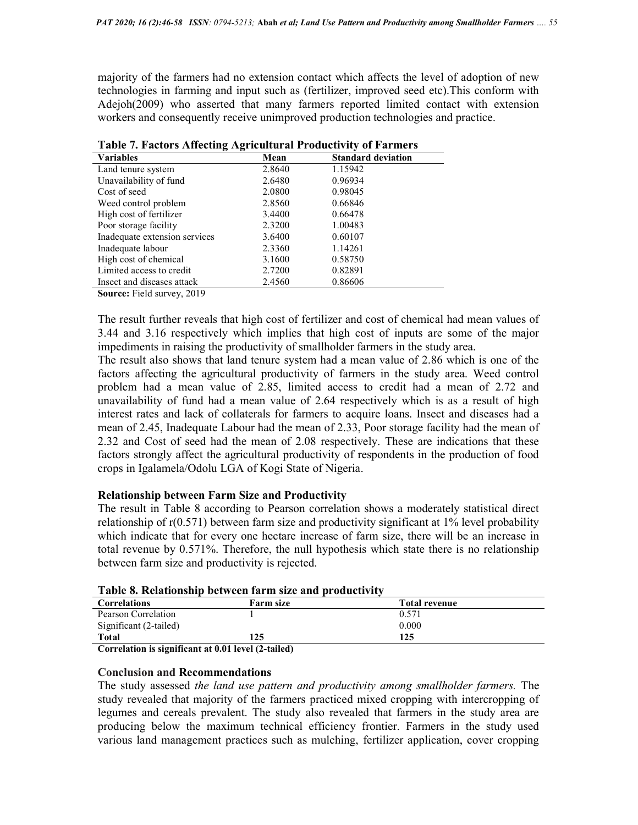majority of the farmers had no extension contact which affects the level of adoption of new technologies in farming and input such as (fertilizer, improved seed etc).This conform with Adejoh(2009) who asserted that many farmers reported limited contact with extension workers and consequently receive unimproved production technologies and practice.

| Table 7. I actors Ameeting Agricultural Frounchvity of Farmers |        |                           |  |
|----------------------------------------------------------------|--------|---------------------------|--|
| <b>Variables</b>                                               | Mean   | <b>Standard deviation</b> |  |
| Land tenure system                                             | 2.8640 | 1.15942                   |  |
| Unavailability of fund                                         | 2.6480 | 0.96934                   |  |
| Cost of seed                                                   | 2.0800 | 0.98045                   |  |
| Weed control problem                                           | 2.8560 | 0.66846                   |  |
| High cost of fertilizer                                        | 3.4400 | 0.66478                   |  |
| Poor storage facility                                          | 2.3200 | 1.00483                   |  |
| Inadequate extension services                                  | 3.6400 | 0.60107                   |  |
| Inadequate labour                                              | 2.3360 | 1.14261                   |  |
| High cost of chemical                                          | 3.1600 | 0.58750                   |  |
| Limited access to credit                                       | 2.7200 | 0.82891                   |  |
| Insect and diseases attack                                     | 2.4560 | 0.86606                   |  |

Table 7. Factors Affecting Agricultural Productivity of Farmers

Source: Field survey, 2019

The result further reveals that high cost of fertilizer and cost of chemical had mean values of 3.44 and 3.16 respectively which implies that high cost of inputs are some of the major impediments in raising the productivity of smallholder farmers in the study area.

The result also shows that land tenure system had a mean value of 2.86 which is one of the factors affecting the agricultural productivity of farmers in the study area. Weed control problem had a mean value of 2.85, limited access to credit had a mean of 2.72 and unavailability of fund had a mean value of 2.64 respectively which is as a result of high interest rates and lack of collaterals for farmers to acquire loans. Insect and diseases had a mean of 2.45, Inadequate Labour had the mean of 2.33, Poor storage facility had the mean of 2.32 and Cost of seed had the mean of 2.08 respectively. These are indications that these factors strongly affect the agricultural productivity of respondents in the production of food crops in Igalamela/Odolu LGA of Kogi State of Nigeria.

## Relationship between Farm Size and Productivity

The result in Table 8 according to Pearson correlation shows a moderately statistical direct relationship of r(0.571) between farm size and productivity significant at 1% level probability which indicate that for every one hectare increase of farm size, there will be an increase in total revenue by 0.571%. Therefore, the null hypothesis which state there is no relationship between farm size and productivity is rejected.

| Table 6. Kelativiisilip between Tal ill size and productivity |                  |                      |
|---------------------------------------------------------------|------------------|----------------------|
| <b>Correlations</b>                                           | <b>Farm size</b> | <b>Total revenue</b> |
| Pearson Correlation                                           |                  | 0.571                |
| Significant (2-tailed)                                        |                  | 0.000                |
| Total                                                         | 125              | 125                  |
| $\cdot$ $\sim$<br>$\cdots$ $\cdots$<br>$\cdots$<br>$\sim$     |                  |                      |

|  |  |  |  |  | Table 8. Relationship between farm size and productivity |
|--|--|--|--|--|----------------------------------------------------------|
|--|--|--|--|--|----------------------------------------------------------|

Correlation is significant at 0.01 level (2-tailed)

## Conclusion and Recommendations

The study assessed the land use pattern and productivity among smallholder farmers. The study revealed that majority of the farmers practiced mixed cropping with intercropping of legumes and cereals prevalent. The study also revealed that farmers in the study area are producing below the maximum technical efficiency frontier. Farmers in the study used various land management practices such as mulching, fertilizer application, cover cropping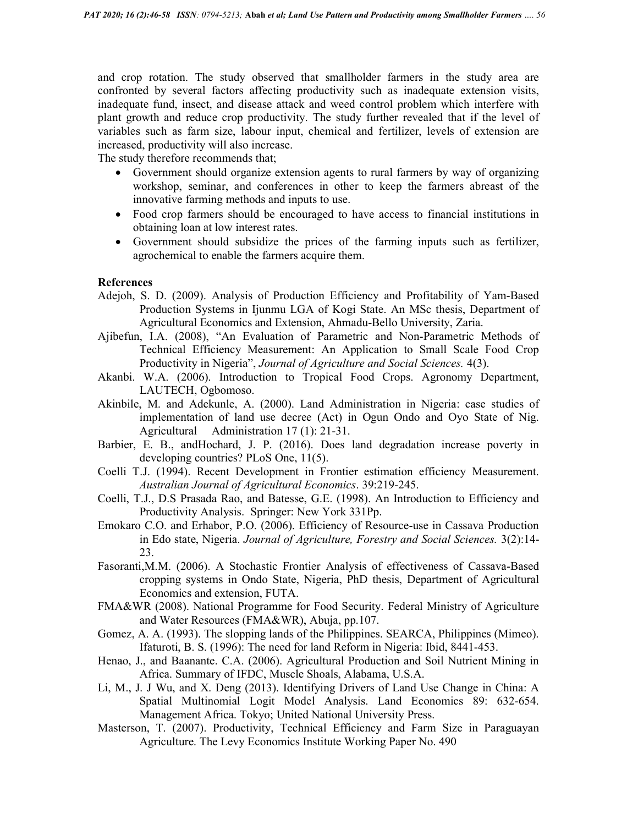and crop rotation. The study observed that smallholder farmers in the study area are confronted by several factors affecting productivity such as inadequate extension visits, inadequate fund, insect, and disease attack and weed control problem which interfere with plant growth and reduce crop productivity. The study further revealed that if the level of variables such as farm size, labour input, chemical and fertilizer, levels of extension are increased, productivity will also increase.

The study therefore recommends that;

- Government should organize extension agents to rural farmers by way of organizing workshop, seminar, and conferences in other to keep the farmers abreast of the innovative farming methods and inputs to use.
- Food crop farmers should be encouraged to have access to financial institutions in obtaining loan at low interest rates.
- Government should subsidize the prices of the farming inputs such as fertilizer, agrochemical to enable the farmers acquire them.

#### References

- Adejoh, S. D. (2009). Analysis of Production Efficiency and Profitability of Yam-Based Production Systems in Ijunmu LGA of Kogi State. An MSc thesis, Department of Agricultural Economics and Extension, Ahmadu-Bello University, Zaria.
- Ajibefun, I.A. (2008), "An Evaluation of Parametric and Non-Parametric Methods of Technical Efficiency Measurement: An Application to Small Scale Food Crop Productivity in Nigeria", Journal of Agriculture and Social Sciences. 4(3).
- Akanbi. W.A. (2006). Introduction to Tropical Food Crops. Agronomy Department, LAUTECH, Ogbomoso.
- Akinbile, M. and Adekunle, A. (2000). Land Administration in Nigeria: case studies of implementation of land use decree (Act) in Ogun Ondo and Oyo State of Nig. Agricultural Administration 17 (1): 21-31.
- Barbier, E. B., andHochard, J. P. (2016). Does land degradation increase poverty in developing countries? PLoS One, 11(5).
- Coelli T.J. (1994). Recent Development in Frontier estimation efficiency Measurement. Australian Journal of Agricultural Economics. 39:219-245.
- Coelli, T.J., D.S Prasada Rao, and Batesse, G.E. (1998). An Introduction to Efficiency and Productivity Analysis. Springer: New York 331Pp.
- Emokaro C.O. and Erhabor, P.O. (2006). Efficiency of Resource-use in Cassava Production in Edo state, Nigeria. Journal of Agriculture, Forestry and Social Sciences. 3(2):14- 23.
- Fasoranti,M.M. (2006). A Stochastic Frontier Analysis of effectiveness of Cassava-Based cropping systems in Ondo State, Nigeria, PhD thesis, Department of Agricultural Economics and extension, FUTA.
- FMA&WR (2008). National Programme for Food Security. Federal Ministry of Agriculture and Water Resources (FMA&WR), Abuja, pp.107.
- Gomez, A. A. (1993). The slopping lands of the Philippines. SEARCA, Philippines (Mimeo). Ifaturoti, B. S. (1996): The need for land Reform in Nigeria: Ibid, 8441-453.
- Henao, J., and Baanante. C.A. (2006). Agricultural Production and Soil Nutrient Mining in Africa. Summary of IFDC, Muscle Shoals, Alabama, U.S.A.
- Li, M., J. J Wu, and X. Deng (2013). Identifying Drivers of Land Use Change in China: A Spatial Multinomial Logit Model Analysis. Land Economics 89: 632-654. Management Africa. Tokyo; United National University Press.
- Masterson, T. (2007). Productivity, Technical Efficiency and Farm Size in Paraguayan Agriculture. The Levy Economics Institute Working Paper No. 490